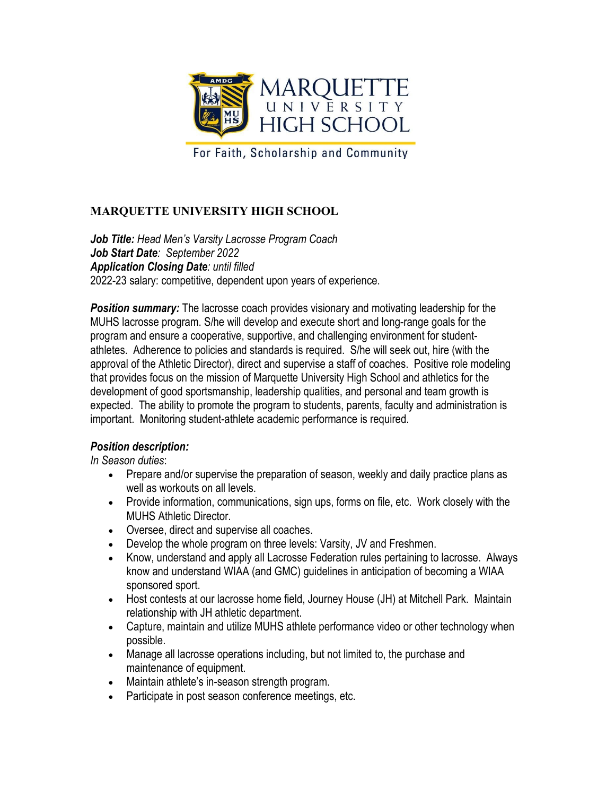

For Faith, Scholarship and Community

## **MARQUETTE UNIVERSITY HIGH SCHOOL**

*Job Title: Head Men's Varsity Lacrosse Program Coach Job Start Date: September 2022 Application Closing Date: until filled* 2022-23 salary: competitive, dependent upon years of experience.

**Position summary:** The lacrosse coach provides visionary and motivating leadership for the MUHS lacrosse program. S/he will develop and execute short and long-range goals for the program and ensure a cooperative, supportive, and challenging environment for studentathletes. Adherence to policies and standards is required. S/he will seek out, hire (with the approval of the Athletic Director), direct and supervise a staff of coaches. Positive role modeling that provides focus on the mission of Marquette University High School and athletics for the development of good sportsmanship, leadership qualities, and personal and team growth is expected. The ability to promote the program to students, parents, faculty and administration is important. Monitoring student-athlete academic performance is required.

## *Position description:*

*In Season duties*:

- Prepare and/or supervise the preparation of season, weekly and daily practice plans as well as workouts on all levels.
- Provide information, communications, sign ups, forms on file, etc. Work closely with the MUHS Athletic Director.
- Oversee, direct and supervise all coaches.
- Develop the whole program on three levels: Varsity, JV and Freshmen.
- Know, understand and apply all Lacrosse Federation rules pertaining to lacrosse. Always know and understand WIAA (and GMC) guidelines in anticipation of becoming a WIAA sponsored sport.
- Host contests at our lacrosse home field, Journey House (JH) at Mitchell Park. Maintain relationship with JH athletic department.
- Capture, maintain and utilize MUHS athlete performance video or other technology when possible.
- Manage all lacrosse operations including, but not limited to, the purchase and maintenance of equipment.
- Maintain athlete's in-season strength program.
- Participate in post season conference meetings, etc.